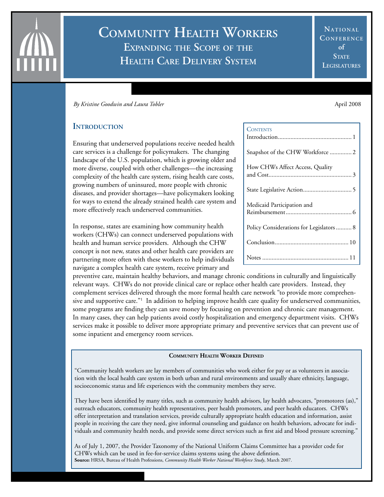# **Community Health Workers Expanding the Scope of the Health Care Delivery System**

**NATIONAL** CONFERENCE **of STATE Legislatures**

*By Kristine Goodwin and Laura Tobler* April 2008 **April 2008** 

# **INTRODUCTION**

Ensuring that underserved populations receive needed health care services is a challenge for policymakers. The changing landscape of the U.S. population, which is growing older and more diverse, coupled with other challenges—the increasing complexity of the health care system, rising health care costs, growing numbers of uninsured, more people with chronic diseases, and provider shortages—have policymakers looking for ways to extend the already strained health care system and more effectively reach underserved communities.

In response, states are examining how community health workers (CHWs) can connect underserved populations with health and human service providers. Although the CHW concept is not new, states and other health care providers are partnering more often with these workers to help individuals navigate a complex health care system, receive primary and

preventive care, maintain healthy behaviors, and manage chronic conditions in culturally and linguistically relevant ways. CHWs do not provide clinical care or replace other health care providers. Instead, they complement services delivered through the more formal health care network "to provide more comprehensive and supportive care."<sup>1</sup> In addition to helping improve health care quality for underserved communities, some programs are finding they can save money by focusing on prevention and chronic care management. In many cases, they can help patients avoid costly hospitalization and emergency department visits. CHWs services make it possible to deliver more appropriate primary and preventive services that can prevent use of some inpatient and emergency room services.

#### **Community Health Worker Defined**

"Community health workers are lay members of communities who work either for pay or as volunteers in association with the local health care system in both urban and rural environments and usually share ethnicity, language, socioeconomic status and life experiences with the community members they serve.

They have been identified by many titles, such as community health advisors, lay health advocates, "promotores (as)," outreach educators, community health representatives, peer health promoters, and peer health educators. CHWs offer interpretation and translation services, provide culturally appropriate health education and information, assist people in receiving the care they need, give informal counseling and guidance on health behaviors, advocate for individuals and community health needs, and provide some direct services such as first aid and blood pressure screening."

As of July 1, 2007, the Provider Taxonomy of the National Uniform Claims Committee has a provider code for CHWs which can be used in fee-for-service claims systems using the above defintion. **Source:** HRSA, Bureau of Health Professions, *Community Health Worker National Workforce Study*, March 2007.

#### Contents

| <b>CUNTENTS</b>                          |
|------------------------------------------|
| Snapshot of the CHW Workforce  2         |
| How CHWs Affect Access, Quality          |
|                                          |
| Medicaid Participation and               |
| Policy Considerations for Legislators  8 |
|                                          |
|                                          |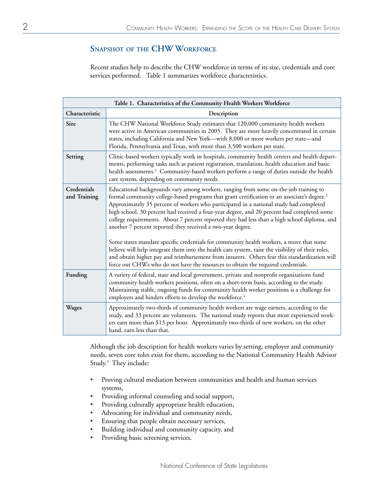# **Snapshot of the CHW Workforce**

Recent studies help to describe the CHW workforce in terms of its size, credentials and core services performed. Table 1 summarizes workforce characteristics.

| Table 1. Characteristics of the Community Health Workers Workforce |                                                                                                                                                                                                                                                                                                                                                                                                                                                                                                                                                                                                                                                                                                                                                                                                                                                                                                                                             |  |
|--------------------------------------------------------------------|---------------------------------------------------------------------------------------------------------------------------------------------------------------------------------------------------------------------------------------------------------------------------------------------------------------------------------------------------------------------------------------------------------------------------------------------------------------------------------------------------------------------------------------------------------------------------------------------------------------------------------------------------------------------------------------------------------------------------------------------------------------------------------------------------------------------------------------------------------------------------------------------------------------------------------------------|--|
| Characteristic                                                     | Description                                                                                                                                                                                                                                                                                                                                                                                                                                                                                                                                                                                                                                                                                                                                                                                                                                                                                                                                 |  |
| Size                                                               | The CHW National Workforce Study estimates that 120,000 community health workers<br>were active in American communities in 2005. They are more heavily concentrated in certain<br>states, including California and New York-with 8,000 or more workers per state-and<br>Florida, Pennsylvania and Texas, with more than 3,500 workers per state.                                                                                                                                                                                                                                                                                                                                                                                                                                                                                                                                                                                            |  |
| Setting                                                            | Clinic-based workers typically work in hospitals, community health centers and health depart-<br>ments, performing tasks such as patient registration, translation, health education and basic<br>health assessments. <sup>2</sup> Community-based workers perform a range of duties outside the health<br>care system, depending on community needs.                                                                                                                                                                                                                                                                                                                                                                                                                                                                                                                                                                                       |  |
| Credentials<br>and Training                                        | Educational backgrounds vary among workers, ranging from some on-the-job training to<br>formal community college-based programs that grant certification or an associate's degree. <sup>3</sup><br>Approximately 35 percent of workers who participated in a national study had completed<br>high school, 30 percent had received a four-year degree, and 20 percent had completed some<br>college requirements. About 7 percent reported they had less than a high school diploma, and<br>another 7 percent reported they received a two-year degree.<br>Some states mandate specific credentials for community health workers, a move that some<br>believe will help integrate them into the health care system, raise the visibility of their roles,<br>and obtain higher pay and reimbursement from insurers. Others fear this standardization will<br>force out CHWs who do not have the resources to obtain the required credentials. |  |
| Funding                                                            | A variety of federal, state and local government, private and nonprofit organizations fund<br>community health workers positions, often on a short-term basis, according to the study.<br>Maintaining stable, ongoing funds for community health worker positions is a challenge for<br>employers and hinders efforts to develop the workforce. <sup>4</sup>                                                                                                                                                                                                                                                                                                                                                                                                                                                                                                                                                                                |  |
| Wages                                                              | Approximately two-thirds of community health workers are wage earners, according to the<br>study, and 33 percent are volunteers. The national study reports that most experienced work-<br>ers earn more than \$13 per hour. Approximately two-thirds of new workers, on the other<br>hand, earn less than that.                                                                                                                                                                                                                                                                                                                                                                                                                                                                                                                                                                                                                            |  |

Although the job description for health workers varies by setting, employer and community needs, seven core roles exist for them, according to the National Community Health Advisor Study.<sup>5</sup> They include:

- Proving cultural mediation between communities and health and human services systems,
- Providing informal counseling and social support,
- Providing culturally appropriate health education,
- Advocating for individual and community needs,
- Ensuring that people obtain necessary services,
- Building individual and community capacity, and
- Providing basic screening services.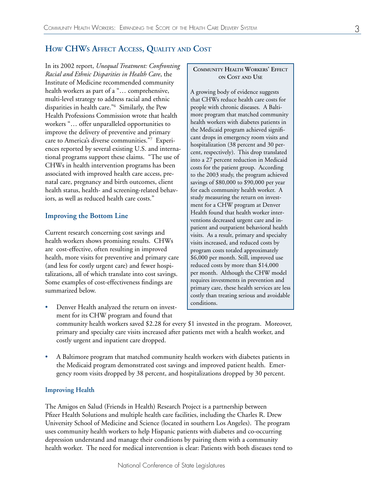In its 2002 report, *Unequal Treatment: Confronting Racial and Ethnic Disparities in Health Care*, the Institute of Medicine recommended community health workers as part of a "… comprehensive, multi-level strategy to address racial and ethnic disparities in health care."6 Similarly, the Pew Health Professions Commission wrote that health workers "… offer unparalleled opportunities to improve the delivery of preventive and primary care to America's diverse communities."7 Experiences reported by several existing U.S. and international programs support these claims. "The use of CHWs in health intervention programs has been associated with improved health care access, prenatal care, pregnancy and birth outcomes, client health status, health- and screening-related behaviors, as well as reduced health care costs."

# **Improving the Bottom Line**

Current research concerning cost savings and health workers shows promising results. CHWs are cost-effective, often resulting in improved health, more visits for preventive and primary care (and less for costly urgent care) and fewer hospitalizations, all of which translate into cost savings. Some examples of cost-effectiveness findings are summarized below.

- Denver Health analyzed the return on investment for its CHW program and found that community health workers saved \$2.28 for every \$1 invested in the program. Moreover, primary and specialty care visits increased after patients met with a health worker, and costly urgent and inpatient care dropped.
- A Baltimore program that matched community health workers with diabetes patients in the Medicaid program demonstrated cost savings and improved patient health. Emergency room visits dropped by 38 percent, and hospitalizations dropped by 30 percent.

### **Improving Health**

The Amigos en Salud (Friends in Health) Research Project is a partnership between Pfizer Health Solutions and multiple health care facilities, including the Charles R. Drew University School of Medicine and Science (located in southern Los Angeles). The program uses community health workers to help Hispanic patients with diabetes and co-occurring depression understand and manage their conditions by pairing them with a community health worker. The need for medical intervention is clear: Patients with both diseases tend to

#### **Community Health Workers' Effect on Cost and Use**

A growing body of evidence suggests that CHWs reduce health care costs for people with chronic diseases. A Baltimore program that matched community health workers with diabetes patients in the Medicaid program achieved significant drops in emergency room visits and hospitalization (38 percent and 30 percent, respectively). This drop translated into a 27 percent reduction in Medicaid costs for the patient group. According to the 2003 study, the program achieved savings of \$80,000 to \$90,000 per year for each community health worker. A study measuring the return on investment for a CHW program at Denver Health found that health worker interventions decreased urgent care and inpatient and outpatient behavioral health visits. As a result, primary and specialty visits increased, and reduced costs by program costs totaled approximately \$6,000 per month. Still, improved use reduced costs by more than \$14,000 per month. Although the CHW model requires investments in prevention and primary care, these health services are less costly than treating serious and avoidable conditions.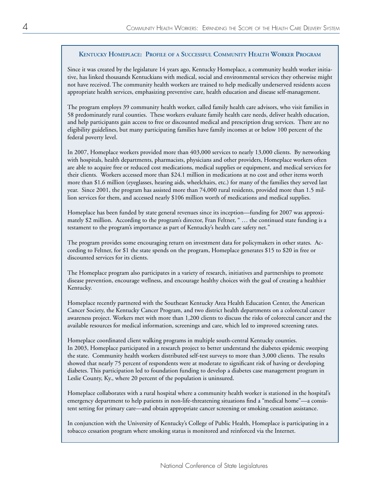### **Kentucky Homeplace: Profile of a Successful Community Health Worker Program**

Since it was created by the legislature 14 years ago, Kentucky Homeplace, a community health worker initiative, has linked thousands Kentuckians with medical, social and environmental services they otherwise might not have received. The community health workers are trained to help medically underserved residents access appropriate health services, emphasizing preventive care, health education and disease self-management.

The program employs 39 community health worker, called family health care advisors, who visit families in 58 predominately rural counties. These workers evaluate family health care needs, deliver health education, and help participants gain access to free or discounted medical and prescription drug services. There are no eligibility guidelines, but many participating families have family incomes at or below 100 percent of the federal poverty level.

In 2007, Homeplace workers provided more than 403,000 services to nearly 13,000 clients. By networking with hospitals, health departments, pharmacists, physicians and other providers, Homeplace workers often are able to acquire free or reduced cost medications, medical supplies or equipment, and medical services for their clients. Workers accessed more than \$24.1 million in medications at no cost and other items worth more than \$1.6 million (eyeglasses, hearing aids, wheelchairs, etc.) for many of the families they served last year. Since 2001, the program has assisted more than 74,000 rural residents, provided more than 1.5 million services for them, and accessed nearly \$106 million worth of medications and medical supplies.

Homeplace has been funded by state general revenues since its inception—funding for 2007 was approximately \$2 million. According to the program's director, Fran Feltner, " … the continued state funding is a testament to the program's importance as part of Kentucky's health care safety net."

The program provides some encouraging return on investment data for policymakers in other states. According to Feltner, for \$1 the state spends on the program, Homeplace generates \$15 to \$20 in free or discounted services for its clients.

The Homeplace program also participates in a variety of research, initiatives and partnerships to promote disease prevention, encourage wellness, and encourage healthy choices with the goal of creating a healthier Kentucky.

Homeplace recently partnered with the Southeast Kentucky Area Health Education Center, the American Cancer Society, the Kentucky Cancer Program, and two district health departments on a colorectal cancer awareness project. Workers met with more than 1,200 clients to discuss the risks of colorectal cancer and the available resources for medical information, screenings and care, which led to improved screening rates.

Homeplace coordinated client walking programs in multiple south-central Kentucky counties. In 2003, Homeplace participated in a research project to better understand the diabetes epidemic sweeping the state. Community health workers distributed self-test surveys to more than 3,000 clients. The results showed that nearly 75 percent of respondents were at moderate to significant risk of having or developing diabetes. This participation led to foundation funding to develop a diabetes case management program in Leslie County, Ky., where 20 percent of the population is uninsured.

Homeplace collaborates with a rural hospital where a community health worker is stationed in the hospital's emergency department to help patients in non-life-threatening situations find a "medical home"—a consistent setting for primary care—and obtain appropriate cancer screening or smoking cessation assistance.

In conjunction with the University of Kentucky's College of Public Health, Homeplace is participating in a tobacco cessation program where smoking status is monitored and reinforced via the Internet.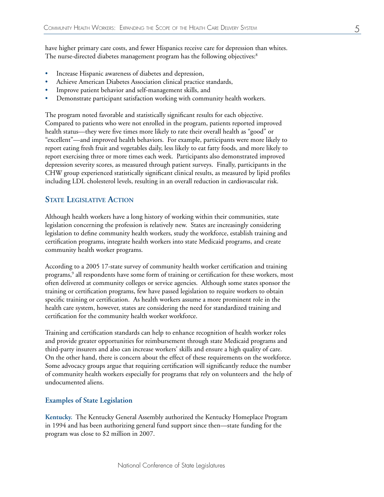have higher primary care costs, and fewer Hispanics receive care for depression than whites. The nurse-directed diabetes management program has the following objectives:<sup>8</sup>

- Increase Hispanic awareness of diabetes and depression,
- Achieve American Diabetes Association clinical practice standards,
- Improve patient behavior and self-management skills, and
- Demonstrate participant satisfaction working with community health workers.

The program noted favorable and statistically significant results for each objective. Compared to patients who were not enrolled in the program, patients reported improved health status—they were five times more likely to rate their overall health as "good" or "excellent"—and improved health behaviors. For example, participants were more likely to report eating fresh fruit and vegetables daily, less likely to eat fatty foods, and more likely to report exercising three or more times each week. Participants also demonstrated improved depression severity scores, as measured through patient surveys. Finally, participants in the CHW group experienced statistically significant clinical results, as measured by lipid profiles including LDL cholesterol levels, resulting in an overall reduction in cardiovascular risk.

# **State Legislative Action**

Although health workers have a long history of working within their communities, state legislation concerning the profession is relatively new. States are increasingly considering legislation to define community health workers, study the workforce, establish training and certification programs, integrate health workers into state Medicaid programs, and create community health worker programs.

According to a 2005 17-state survey of community health worker certification and training programs,<sup>9</sup> all respondents have some form of training or certification for these workers, most often delivered at community colleges or service agencies. Although some states sponsor the training or certification programs, few have passed legislation to require workers to obtain specific training or certification. As health workers assume a more prominent role in the health care system, however, states are considering the need for standardized training and certification for the community health worker workforce.

Training and certification standards can help to enhance recognition of health worker roles and provide greater opportunities for reimbursement through state Medicaid programs and third-party insurers and also can increase workers' skills and ensure a high quality of care. On the other hand, there is concern about the effect of these requirements on the workforce. Some advocacy groups argue that requiring certification will significantly reduce the number of community health workers especially for programs that rely on volunteers and the help of undocumented aliens.

### **Examples of State Legislation**

**Kentucky.** The Kentucky General Assembly authorized the Kentucky Homeplace Program in 1994 and has been authorizing general fund support since then—state funding for the program was close to \$2 million in 2007.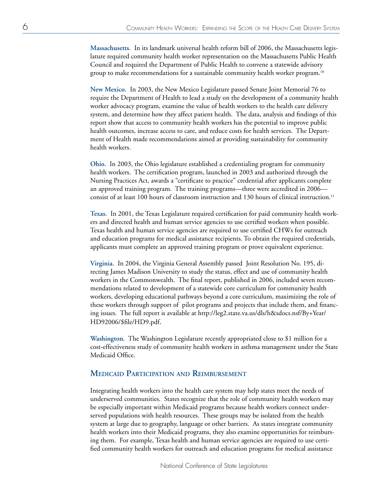**Massachusetts.** In its landmark universal health reform bill of 2006, the Massachusetts legislature required community health worker representation on the Massachusetts Public Health Council and required the Department of Public Health to convene a statewide advisory group to make recommendations for a sustainable community health worker program.<sup>10</sup>

**New Mexico.** In 2003, the New Mexico Legislature passed Senate Joint Memorial 76 to require the Department of Health to lead a study on the development of a community health worker advocacy program, examine the value of health workers to the health care delivery system, and determine how they affect patient health. The data, analysis and findings of this report show that access to community health workers has the potential to improve public health outcomes, increase access to care, and reduce costs for health services. The Department of Health made recommendations aimed at providing sustainability for community health workers.

**Ohio.** In 2003, the Ohio legislature established a credentialing program for community health workers. The certification program, launched in 2003 and authorized through the Nursing Practices Act, awards a "certificate to practice" credential after applicants complete an approved training program. The training programs—three were accredited in 2006 consist of at least 100 hours of classroom instruction and 130 hours of clinical instruction.<sup>11</sup>

**Texas.** In 2001, the Texas Legislature required certification for paid community health workers and directed health and human service agencies to use certified workers when possible. Texas health and human service agencies are required to use certified CHWs for outreach and education programs for medical assistance recipients. To obtain the required credentials, applicants must complete an approved training program or prove equivalent experience.

**Virginia.** In 2004, the Virginia General Assembly passed Joint Resolution No. 195, directing James Madison University to study the status, effect and use of community health workers in the Commonwealth. The final report, published in 2006, included seven recommendations related to development of a statewide core curriculum for community health workers, developing educational pathways beyond a core curriculum, maximizing the role of these workers through support of pilot programs and projects that include them, and financing issues. The full report is available at http://leg2.state.va.us/dls/h&sdocs.nsf/By+Year/ HD92006/\$file/HD9.pdf.

**Washington.** The Washington Legislature recently appropriated close to \$1 million for a cost-effectiveness study of community health workers in asthma management under the State Medicaid Office.

# **Medicaid Participation and Reimbursement**

Integrating health workers into the health care system may help states meet the needs of underserved communities. States recognize that the role of community health workers may be especially important within Medicaid programs because health workers connect underserved populations with health resources. These groups may be isolated from the health system at large due to geography, language or other barriers. As states integrate community health workers into their Medicaid programs, they also examine opportunities for reimbursing them. For example, Texas health and human service agencies are required to use certified community health workers for outreach and education programs for medical assistance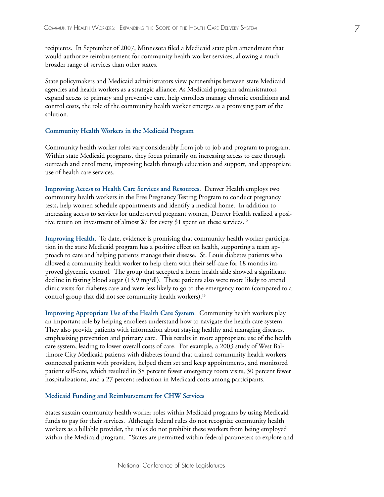recipients. In September of 2007, Minnesota filed a Medicaid state plan amendment that would authorize reimbursement for community health worker services, allowing a much broader range of services than other states.

State policymakers and Medicaid administrators view partnerships between state Medicaid agencies and health workers as a strategic alliance. As Medicaid program administrators expand access to primary and preventive care, help enrollees manage chronic conditions and control costs, the role of the community health worker emerges as a promising part of the solution.

#### **Community Health Workers in the Medicaid Program**

Community health worker roles vary considerably from job to job and program to program. Within state Medicaid programs, they focus primarily on increasing access to care through outreach and enrollment, improving health through education and support, and appropriate use of health care services.

**Improving Access to Health Care Services and Resources**. Denver Health employs two community health workers in the Free Pregnancy Testing Program to conduct pregnancy tests, help women schedule appointments and identify a medical home. In addition to increasing access to services for underserved pregnant women, Denver Health realized a positive return on investment of almost \$7 for every \$1 spent on these services.<sup>12</sup>

**Improving Health**. To date, evidence is promising that community health worker participation in the state Medicaid program has a positive effect on health, supporting a team approach to care and helping patients manage their disease. St. Louis diabetes patients who allowed a community health worker to help them with their self-care for 18 months improved glycemic control. The group that accepted a home health aide showed a significant decline in fasting blood sugar (13.9 mg/dl). These patients also were more likely to attend clinic visits for diabetes care and were less likely to go to the emergency room (compared to a control group that did not see community health workers).<sup>13</sup>

**Improving Appropriate Use of the Health Care System**. Community health workers play an important role by helping enrollees understand how to navigate the health care system. They also provide patients with information about staying healthy and managing diseases, emphasizing prevention and primary care. This results in more appropriate use of the health care system, leading to lower overall costs of care. For example, a 2003 study of West Baltimore City Medicaid patients with diabetes found that trained community health workers connected patients with providers, helped them set and keep appointments, and monitored patient self-care, which resulted in 38 percent fewer emergency room visits, 30 percent fewer hospitalizations, and a 27 percent reduction in Medicaid costs among participants.

#### **Medicaid Funding and Reimbursement for CHW Services**

States sustain community health worker roles within Medicaid programs by using Medicaid funds to pay for their services. Although federal rules do not recognize community health workers as a billable provider, the rules do not prohibit these workers from being employed within the Medicaid program. "States are permitted within federal parameters to explore and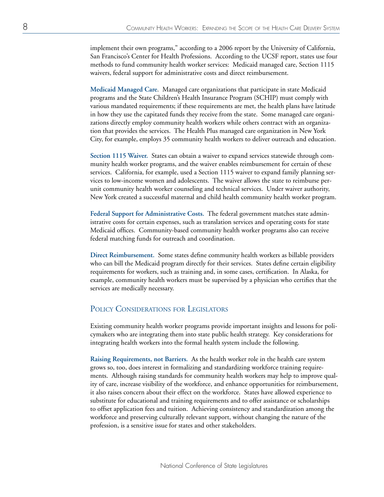implement their own programs," according to a 2006 report by the University of California, San Francisco's Center for Health Professions. According to the UCSF report, states use four methods to fund community health worker services: Medicaid managed care, Section 1115 waivers, federal support for administrative costs and direct reimbursement.

**Medicaid Managed Care**. Managed care organizations that participate in state Medicaid programs and the State Children's Health Insurance Program (SCHIP) must comply with various mandated requirements; if these requirements are met, the health plans have latitude in how they use the capitated funds they receive from the state. Some managed care organizations directly employ community health workers while others contract with an organization that provides the services. The Health Plus managed care organization in New York City, for example, employs 35 community health workers to deliver outreach and education.

**Section 1115 Waiver.** States can obtain a waiver to expand services statewide through community health worker programs, and the waiver enables reimbursement for certain of these services. California, for example, used a Section 1115 waiver to expand family planning services to low-income women and adolescents. The waiver allows the state to reimburse perunit community health worker counseling and technical services. Under waiver authority, New York created a successful maternal and child health community health worker program.

**Federal Support for Administrative Costs.** The federal government matches state administrative costs for certain expenses, such as translation services and operating costs for state Medicaid offices. Community-based community health worker programs also can receive federal matching funds for outreach and coordination.

**Direct Reimbursement.** Some states define community health workers as billable providers who can bill the Medicaid program directly for their services. States define certain eligibility requirements for workers, such as training and, in some cases, certification. In Alaska, for example, community health workers must be supervised by a physician who certifies that the services are medically necessary.

# Policy Considerations for Legislators

Existing community health worker programs provide important insights and lessons for policymakers who are integrating them into state public health strategy. Key considerations for integrating health workers into the formal health system include the following.

**Raising Requirements, not Barriers.** As the health worker role in the health care system grows so, too, does interest in formalizing and standardizing workforce training requirements. Although raising standards for community health workers may help to improve quality of care, increase visibility of the workforce, and enhance opportunities for reimbursement, it also raises concern about their effect on the workforce. States have allowed experience to substitute for educational and training requirements and to offer assistance or scholarships to offset application fees and tuition. Achieving consistency and standardization among the workforce and preserving culturally relevant support, without changing the nature of the profession, is a sensitive issue for states and other stakeholders.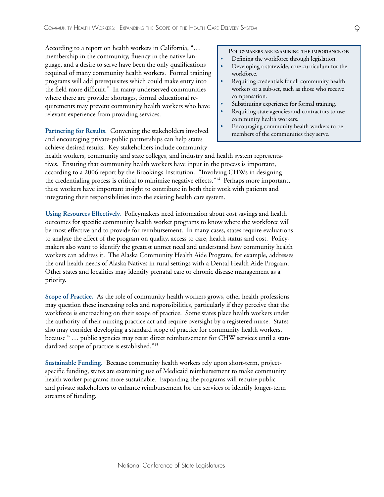According to a report on health workers in California, "… membership in the community, fluency in the native language, and a desire to serve have been the only qualifications required of many community health workers. Formal training programs will add prerequisites which could make entry into the field more difficult." In many underserved communities where there are provider shortages, formal educational requirements may prevent community health workers who have relevant experience from providing services.

**Partnering for Results.** Convening the stakeholders involved and encouraging private-public partnerships can help states achieve desired results. Key stakeholders include community

**Policymakers are examining the importance of:**

- Defining the workforce through legislation.
- Developing a statewide, core curriculum for the workforce.
- Requiring credentials for all community health workers or a sub-set, such as those who receive compensation.
- Substituting experience for formal training.
- Requiring state agencies and contractors to use community health workers.
- Encouraging community health workers to be members of the communities they serve.

health workers, community and state colleges, and industry and health system representatives. Ensuring that community health workers have input in the process is important, according to a 2006 report by the Brookings Institution. "Involving CHWs in designing the credentialing process is critical to minimize negative effects."<sup>14</sup> Perhaps more important, these workers have important insight to contribute in both their work with patients and integrating their responsibilities into the existing health care system.

**Using Resources Effectively.** Policymakers need information about cost savings and health outcomes for specific community health worker programs to know where the workforce will be most effective and to provide for reimbursement. In many cases, states require evaluations to analyze the effect of the program on quality, access to care, health status and cost. Policymakers also want to identify the greatest unmet need and understand how community health workers can address it. The Alaska Community Health Aide Program, for example, addresses the oral health needs of Alaska Natives in rural settings with a Dental Health Aide Program. Other states and localities may identify prenatal care or chronic disease management as a priority.

**Scope of Practice.** As the role of community health workers grows, other health professions may question these increasing roles and responsibilities, particularly if they perceive that the workforce is encroaching on their scope of practice. Some states place health workers under the authority of their nursing practice act and require oversight by a registered nurse. States also may consider developing a standard scope of practice for community health workers, because " … public agencies may resist direct reimbursement for CHW services until a standardized scope of practice is established."15

**Sustainable Funding.** Because community health workers rely upon short-term, projectspecific funding, states are examining use of Medicaid reimbursement to make community health worker programs more sustainable. Expanding the programs will require public and private stakeholders to enhance reimbursement for the services or identify longer-term streams of funding.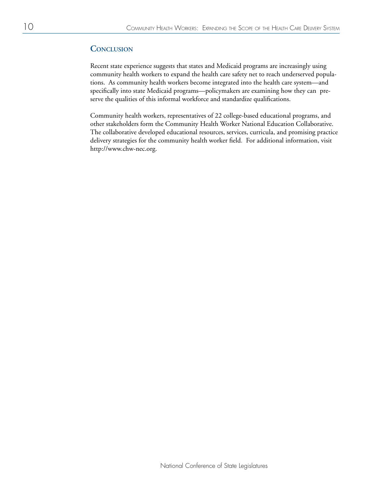# **Conclusion**

Recent state experience suggests that states and Medicaid programs are increasingly using community health workers to expand the health care safety net to reach underserved populations. As community health workers become integrated into the health care system—and specifically into state Medicaid programs—policymakers are examining how they can preserve the qualities of this informal workforce and standardize qualifications.

Community health workers, representatives of 22 college-based educational programs, and other stakeholders form the Community Health Worker National Education Collaborative. The collaborative developed educational resources, services, curricula, and promising practice delivery strategies for the community health worker field. For additional information, visit http://www.chw-nec.org.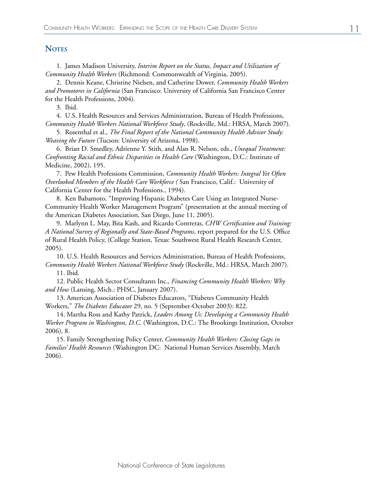## **NOTES**

1. James Madison University, *Interim Report on the Status, Impact and Utilization of Community Health Workers* (Richmond: Commonwealth of Virginia, 2005).

2. Dennis Keane, Christine Nielsen, and Catherine Dower, *Community Health Workers and Promotores in California* (San Francisco: University of California San Francisco Center for the Health Professions, 2004).

3. Ibid.

4. U.S. Health Resources and Services Administration, Bureau of Health Professions, *Community Health Workers National Workforce Study*, (Rockville, Md.: HRSA, March 2007).

5. Rosenthal et al., *The Final Report of the National Community Health Advisor Study: Weaving the Future* (Tucson: University of Arizona, 1998).

6. Brian D. Smedley, Adrienne Y. Stith, and Alan R. Nelson, eds., *Unequal Treatment: Confronting Racial and Ethnic Disparities in Health Care* (Washington, D.C.: Institute of Medicine, 2002), 195.

7. Pew Health Professions Commission, *Community Health Workers: Integral Yet Often Overlooked Members of the Health Care Workforce (* San Francisco, Calif.: University of California Center for the Health Professions., 1994).

8. Ken Babamoto, "Improving Hispanic Diabetes Care Using an Integrated Nurse-Community Health Worker Management Program" (presentation at the annual meeting of the American Diabetes Association, San Diego, June 11, 2005).

9. Marlynn L. May, Bita Kash, and Ricardo Contreras, *CHW Certification and Training: A National Survey of Regionally and State-Based Programs*, report prepared for the U.S. Office of Rural Health Policy, (College Station, Texas: Southwest Rural Health Research Center, 2005).

10. U.S. Health Resources and Services Administration, Bureau of Health Professions, *Community Health Workers National Workforce Study* (Rockville, Md.: HRSA, March 2007).

11. Ibid.

12. Public Health Sector Consultants Inc., *Financing Community Health Workers: Why and How* (Lansing, Mich.: PHSC, January 2007).

13. American Association of Diabetes Educators, "Diabetes Community Health Workers," *The Diabetes Educator* 29, no. 5 (September-October 2003): 822.

14. Martha Ross and Kathy Patrick, *Leaders Among Us: Developing a Community Health Worker Program in Washington, D.C.* (Washington, D.C.: The Brookings Institution, October 2006), 8.

15. Family Strengthening Policy Center, *Community Health Workers: Closing Gaps in Families' Health Resources* (Washington DC: National Human Services Assembly, March 2006).